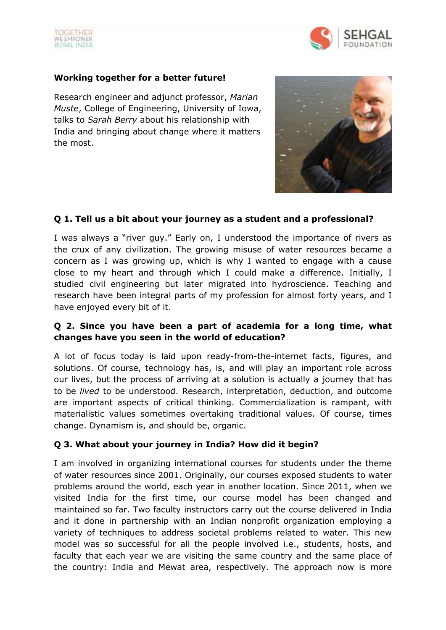



### **Working together for a better future!**

Research engineer and adjunct professor, *Marian Muste*, College of Engineering, University of Iowa, talks to *Sarah Berry* about his relationship with India and bringing about change where it matters the most.



# **Q 1. Tell us a bit about your journey as a student and a professional?**

I was always a "river guy." Early on, I understood the importance of rivers as the crux of any civilization. The growing misuse of water resources became a concern as I was growing up, which is why I wanted to engage with a cause close to my heart and through which I could make a difference. Initially, I studied civil engineering but later migrated into hydroscience. Teaching and research have been integral parts of my profession for almost forty years, and I have enjoyed every bit of it.

# **Q 2. Since you have been a part of academia for a long time, what changes have you seen in the world of education?**

A lot of focus today is laid upon ready-from-the-internet facts, figures, and solutions. Of course, technology has, is, and will play an important role across our lives, but the process of arriving at a solution is actually a journey that has to be *lived* to be understood. Research, interpretation, deduction, and outcome are important aspects of critical thinking. Commercialization is rampant, with materialistic values sometimes overtaking traditional values. Of course, times change. Dynamism is, and should be, organic.

# **Q 3. What about your journey in India? How did it begin?**

I am involved in organizing international courses for students under the theme of water resources since 2001. Originally, our courses exposed students to water problems around the world, each year in another location. Since 2011, when we visited India for the first time, our course model has been changed and maintained so far. Two faculty instructors carry out the course delivered in India and it done in partnership with an Indian nonprofit organization employing a variety of techniques to address societal problems related to water. This new model was so successful for all the people involved i.e., students, hosts, and faculty that each year we are visiting the same country and the same place of the country: India and Mewat area, respectively. The approach now is more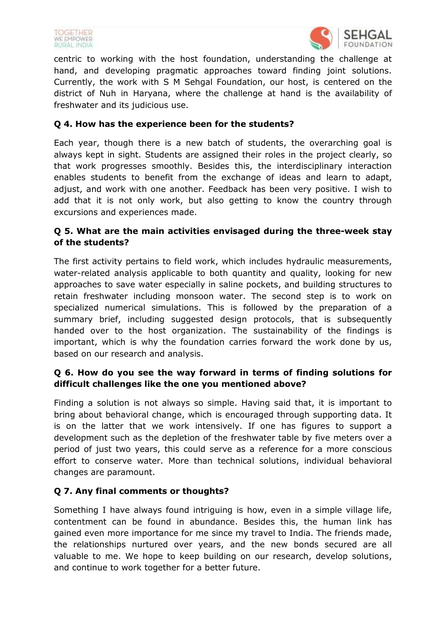



centric to working with the host foundation, understanding the challenge at hand, and developing pragmatic approaches toward finding joint solutions. Currently, the work with S M Sehgal Foundation, our host, is centered on the district of Nuh in Haryana, where the challenge at hand is the availability of freshwater and its judicious use.

## **Q 4. How has the experience been for the students?**

Each year, though there is a new batch of students, the overarching goal is always kept in sight. Students are assigned their roles in the project clearly, so that work progresses smoothly. Besides this, the interdisciplinary interaction enables students to benefit from the exchange of ideas and learn to adapt, adjust, and work with one another. Feedback has been very positive. I wish to add that it is not only work, but also getting to know the country through excursions and experiences made.

# **Q 5. What are the main activities envisaged during the three-week stay of the students?**

The first activity pertains to field work, which includes hydraulic measurements, water-related analysis applicable to both quantity and quality, looking for new approaches to save water especially in saline pockets, and building structures to retain freshwater including monsoon water. The second step is to work on specialized numerical simulations. This is followed by the preparation of a summary brief, including suggested design protocols, that is subsequently handed over to the host organization. The sustainability of the findings is important, which is why the foundation carries forward the work done by us, based on our research and analysis.

# **Q 6. How do you see the way forward in terms of finding solutions for difficult challenges like the one you mentioned above?**

Finding a solution is not always so simple. Having said that, it is important to bring about behavioral change, which is encouraged through supporting data. It is on the latter that we work intensively. If one has figures to support a development such as the depletion of the freshwater table by five meters over a period of just two years, this could serve as a reference for a more conscious effort to conserve water. More than technical solutions, individual behavioral changes are paramount.

# **Q 7. Any final comments or thoughts?**

Something I have always found intriguing is how, even in a simple village life, contentment can be found in abundance. Besides this, the human link has gained even more importance for me since my travel to India. The friends made, the relationships nurtured over years, and the new bonds secured are all valuable to me. We hope to keep building on our research, develop solutions, and continue to work together for a better future.